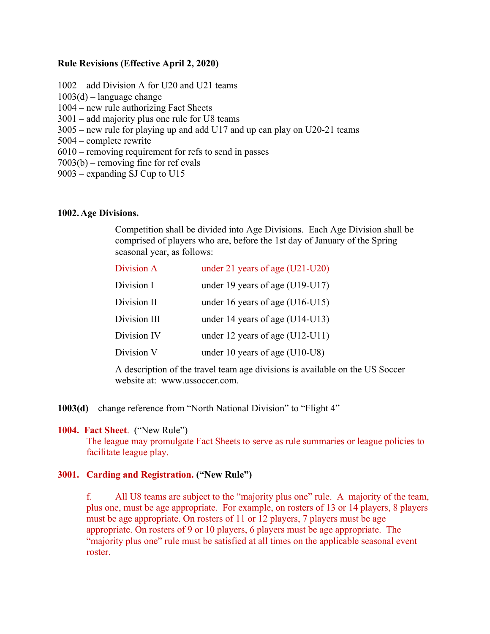#### **Rule Revisions (Effective April 2, 2020)**

1002 – add Division A for U20 and U21 teams  $1003(d)$  – language change 1004 – new rule authorizing Fact Sheets 3001 – add majority plus one rule for U8 teams 3005 – new rule for playing up and add U17 and up can play on U20-21 teams 5004 – complete rewrite 6010 – removing requirement for refs to send in passes 7003(b) – removing fine for ref evals 9003 – expanding SJ Cup to U15

#### **1002. Age Divisions.**

Competition shall be divided into Age Divisions. Each Age Division shall be comprised of players who are, before the 1st day of January of the Spring seasonal year, as follows:

| Division A   | under 21 years of age $(U21-U20)$ |
|--------------|-----------------------------------|
| Division I   | under 19 years of age $(U19-U17)$ |
| Division II  | under 16 years of age $(U16-U15)$ |
| Division III | under 14 years of age $(U14-U13)$ |
| Division IV  | under 12 years of age $(U12-U11)$ |
| Division V   | under 10 years of age $(U10-U8)$  |
|              |                                   |

A description of the travel team age divisions is available on the US Soccer website at: www.ussoccer.com.

**1003(d)** – change reference from "North National Division" to "Flight 4"

#### **1004. Fact Sheet**. ("New Rule")

The league may promulgate Fact Sheets to serve as rule summaries or league policies to facilitate league play.

### **3001. Carding and Registration. ("New Rule")**

f. All U8 teams are subject to the "majority plus one" rule. A majority of the team, plus one, must be age appropriate. For example, on rosters of 13 or 14 players, 8 players must be age appropriate. On rosters of 11 or 12 players, 7 players must be age appropriate. On rosters of 9 or 10 players, 6 players must be age appropriate. The "majority plus one" rule must be satisfied at all times on the applicable seasonal event roster.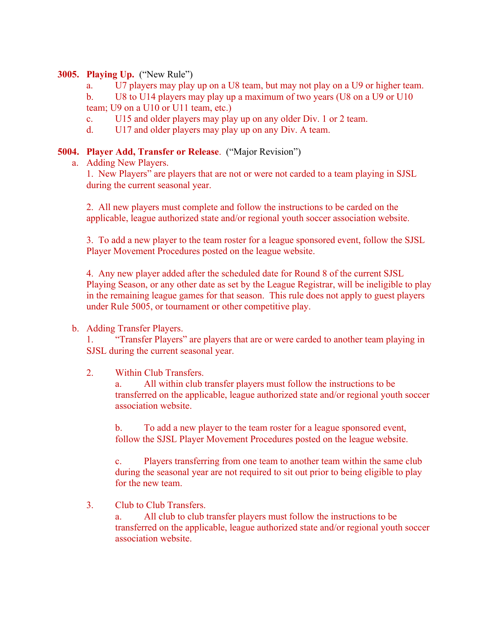## **3005. Playing Up.** ("New Rule")

a. U7 players may play up on a U8 team, but may not play on a U9 or higher team.

b. U8 to U14 players may play up a maximum of two years (U8 on a U9 or U10 team; U9 on a U10 or U11 team, etc.)

- c. U15 and older players may play up on any older Div. 1 or 2 team.
- d. U17 and older players may play up on any Div. A team.

## **5004. Player Add, Transfer or Release**. ("Major Revision")

a. Adding New Players.

1. New Players" are players that are not or were not carded to a team playing in SJSL during the current seasonal year.

2. All new players must complete and follow the instructions to be carded on the applicable, league authorized state and/or regional youth soccer association website.

3. To add a new player to the team roster for a league sponsored event, follow the SJSL Player Movement Procedures posted on the league website.

4. Any new player added after the scheduled date for Round 8 of the current SJSL Playing Season, or any other date as set by the League Registrar, will be ineligible to play in the remaining league games for that season. This rule does not apply to guest players under Rule 5005, or tournament or other competitive play.

### b. Adding Transfer Players.

1. "Transfer Players" are players that are or were carded to another team playing in SJSL during the current seasonal year.

### 2. Within Club Transfers.

a. All within club transfer players must follow the instructions to be transferred on the applicable, league authorized state and/or regional youth soccer association website.

b. To add a new player to the team roster for a league sponsored event, follow the SJSL Player Movement Procedures posted on the league website.

c. Players transferring from one team to another team within the same club during the seasonal year are not required to sit out prior to being eligible to play for the new team.

3. Club to Club Transfers.

a. All club to club transfer players must follow the instructions to be transferred on the applicable, league authorized state and/or regional youth soccer association website.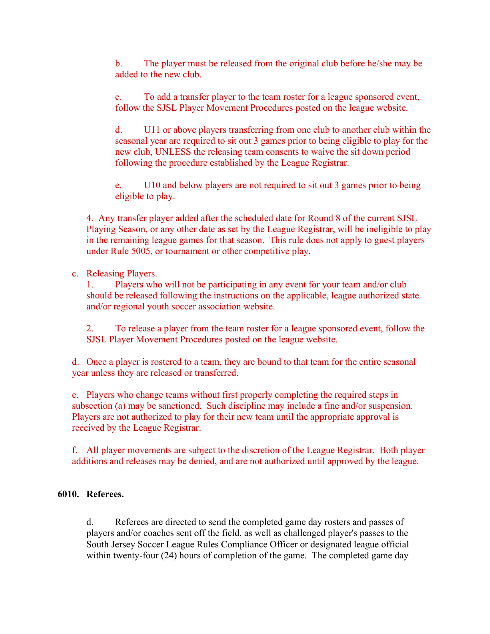b. The player must be released from the original club before he/she may be added to the new club.

c. To add a transfer player to the team roster for a league sponsored event, follow the SJSL Player Movement Procedures posted on the league website.

d. U11 or above players transferring from one club to another club within the seasonal year are required to sit out 3 games prior to being eligible to play for the new club, UNLESS the releasing team consents to waive the sit down period following the procedure established by the League Registrar.

e. U10 and below players are not required to sit out 3 games prior to being eligible to play.

4. Any transfer player added after the scheduled date for Round 8 of the current SJSL Playing Season, or any other date as set by the League Registrar, will be ineligible to play in the remaining league games for that season. This rule does not apply to guest players under Rule 5005, or tournament or other competitive play.

### c. Releasing Players.

1. Players who will not be participating in any event for your team and/or club should be released following the instructions on the applicable, league authorized state and/or regional youth soccer association website.

2. To release a player from the team roster for a league sponsored event, follow the SJSL Player Movement Procedures posted on the league website.

d. Once a player is rostered to a team, they are bound to that team for the entire seasonal year unless they are released or transferred.

e. Players who change teams without first properly completing the required steps in subsection (a) may be sanctioned. Such discipline may include a fine and/or suspension. Players are not authorized to play for their new team until the appropriate approval is received by the League Registrar.

f. All player movements are subject to the discretion of the League Registrar. Both player additions and releases may be denied, and are not authorized until approved by the league.

# **6010. Referees.**

d. Referees are directed to send the completed game day rosters and passes of players and/or coaches sent off the field, as well as challenged player's passes to the South Jersey Soccer League Rules Compliance Officer or designated league official within twenty-four (24) hours of completion of the game. The completed game day